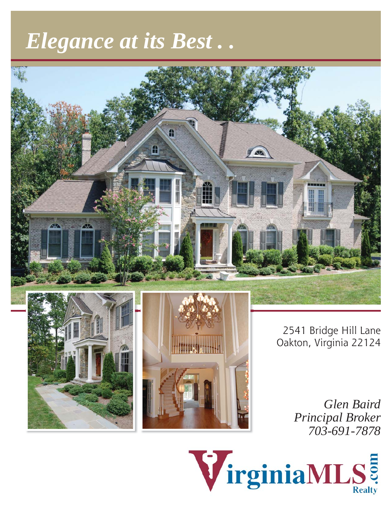# *Elegance at its Best . .*







2541 Bridge Hill Lane Oakton, Virginia 22124

> *Glen Baird Principal Broker 703-691-7878*

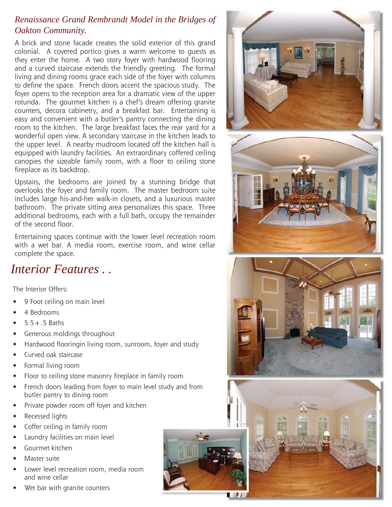#### *Renaissance Grand Rembrandt Model in the Bridges of Oakton Community.*

A brick and stone facade creates the solid exterior of this grand colonial. A covered portico gives a warm welcome to guests as they enter the home. A two story foyer with hardwood flooring and a curved staircase extends the friendly greeting. The formal living and dining rooms grace each side of the foyer with columns to define the space. French doors accent the spacious study. The foyer opens to the reception area for a dramatic view of the upper rotunda. The gourmet kitchen is a chef's dream offering granite counters, decora cabinetry, and a breakfast bar. Entertaining is easy and convenient with a butler's pantry connecting the dining room to the kitchen. The large breakfast faces the rear yard for a wonderful open view. A secondary staircase in the kitchen leads to the upper level. A nearby mudroom located off the kitchen hall is equipped with laundry facilities. An extraordinary coffered ceiling canopies the sizeable family room, with a floor to ceiling stone fireplace as its backdrop.

Upstairs, the bedrooms are joined by a stunning bridge that overlooks the foyer and family room. The master bedroom suite includes large his-and-her walk-in closets, and a luxurious master bathroom. The private sitting area personalizes this space. Three additional bedrooms, each with a full bath, occupy the remainder of the second floor.

Entertaining spaces continue with the lower level recreation room with a wet bar. A media room, exercise room, and wine cellar complete the space.

#### *Interior Features . .*

The Interior Offers:

- 9 Foot ceiling on main level •
- 4 Bedrooms •
- $5.5 + .5$  Baths •
- Generous moldings throughout •
- Hardwood flooringin living room, sunroom, foyer and study •
- Curved oak staircase •
- Formal living room •
- Floor to ceiling stone masonry fireplace in family room •
- French doors leading from foyer to main level study and from butler pantry to dining room •
- Private powder room off foyer and kitchen •
- Recessed lights •
- Coffer ceiling in family room •
- Laundry facilities on main level •
- Gourmet kitchen •
- Master suite •
- Lower level recreation room, media room and wine cellar •
- Wet bar with granite counters •







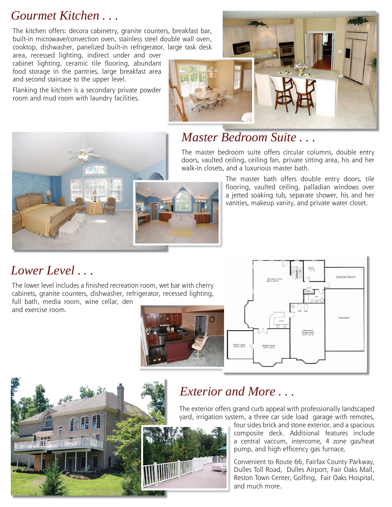#### *Gourmet Kitchen . . .*

The kitchen offers: decora cabinetry, granite counters, breakfast bar, built-in microwave/convection oven, stainless steel double wall oven, cooktop, dishwasher, panelized built-in refrigerator, large task desk

area, recessed lighting, indirect under and over cabinet lighting, ceramic tile flooring, abundant food storage in the pantries, large breakfast area and second staircase to the upper level.

Flanking the kitchen is a secondary private powder room and mud room with laundry facilities.



# *Master Bedroom Suite . . .*

The master bedroom suite offers circular columns, double entry doors, vaulted ceiling, ceiling fan, private sitting area, his and her walk-in closets, and a luxurious master bath.

> The master bath offers double entry doors, tile flooring, vaulted ceiling, palladian windows over a jetted soaking tub, separate shower, his and her vanities, makeup vanity, and private water closet.

#### *Lower Level . . .*

The lower level includes a finished recreation room, wet bar with cherry cabinets, granite counters, dishwasher, refrigerator, recessed lighting, full bath, media room, wine cellar, den

and exercise room.







## *Exterior and More . . .*

The exterior offers grand curb appeal with professionally landscaped yard, irrigation system, a three car side load garage with remotes,

four sides brick and stone exterior, and a spacious composite deck. Additional features include a central vaccum, intercome, 4 zone gas/heat pump, and high efficency gas furnace,

Convenient to Route 66, Fairfax County Parkway, Dulles Toll Road, Dulles Airport, Fair Oaks Mall, Reston Town Center, Golfing, Fair Oaks Hospital, and much more.